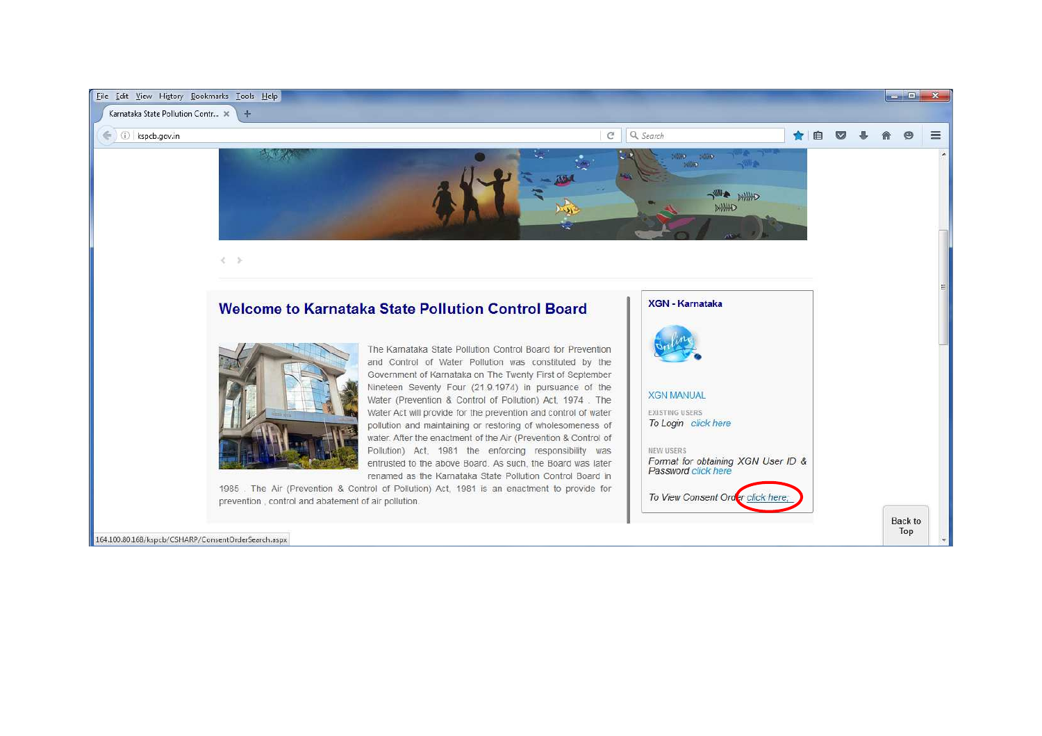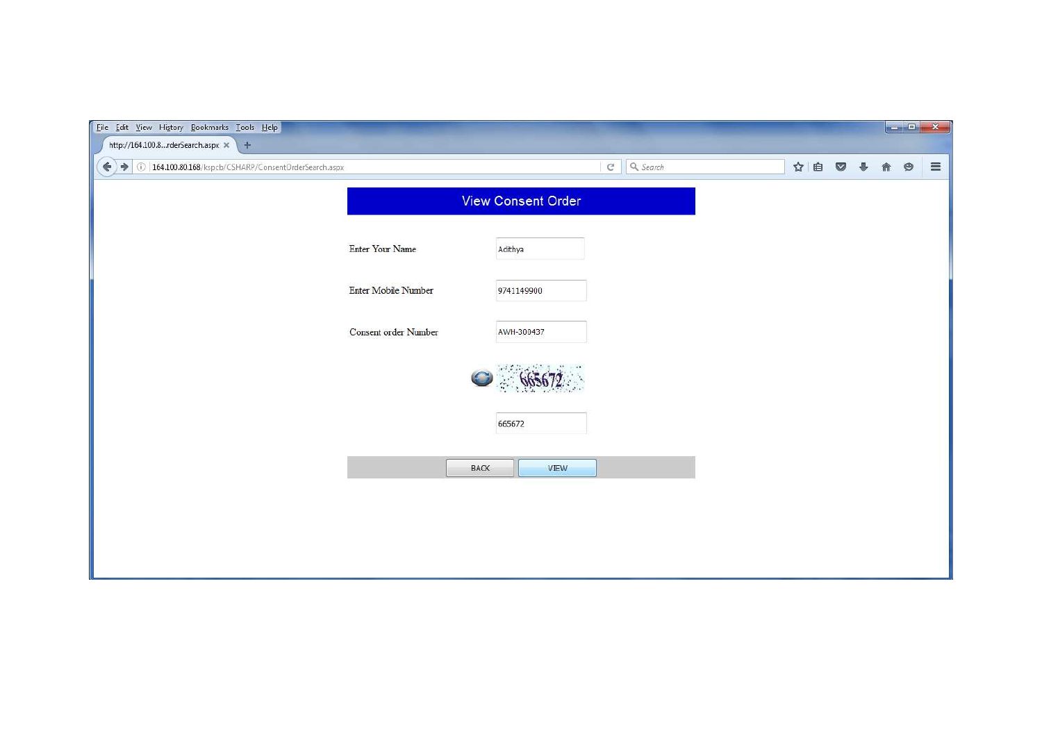